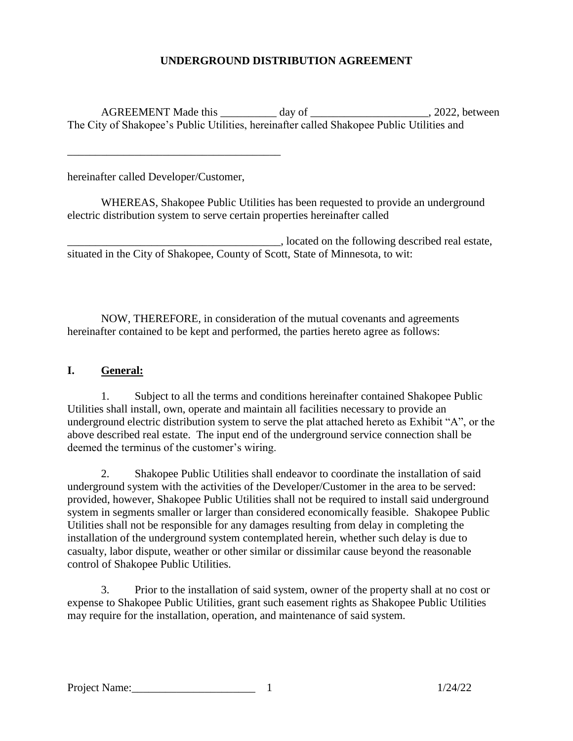## **UNDERGROUND DISTRIBUTION AGREEMENT**

AGREEMENT Made this \_\_\_\_\_\_\_\_\_ day of \_\_\_\_\_\_\_\_\_\_\_\_\_\_\_\_\_\_\_\_\_, 2022, between The City of Shakopee's Public Utilities, hereinafter called Shakopee Public Utilities and

hereinafter called Developer/Customer,

\_\_\_\_\_\_\_\_\_\_\_\_\_\_\_\_\_\_\_\_\_\_\_\_\_\_\_\_\_\_\_\_\_\_\_\_\_\_

WHEREAS, Shakopee Public Utilities has been requested to provide an underground electric distribution system to serve certain properties hereinafter called

\_\_\_\_\_\_\_\_\_\_\_\_\_\_\_\_\_\_\_\_\_\_\_\_\_\_\_\_\_\_\_\_\_\_\_\_\_\_, located on the following described real estate, situated in the City of Shakopee, County of Scott, State of Minnesota, to wit:

NOW, THEREFORE, in consideration of the mutual covenants and agreements hereinafter contained to be kept and performed, the parties hereto agree as follows:

## **I. General:**

1. Subject to all the terms and conditions hereinafter contained Shakopee Public Utilities shall install, own, operate and maintain all facilities necessary to provide an underground electric distribution system to serve the plat attached hereto as Exhibit "A", or the above described real estate. The input end of the underground service connection shall be deemed the terminus of the customer's wiring.

2. Shakopee Public Utilities shall endeavor to coordinate the installation of said underground system with the activities of the Developer/Customer in the area to be served: provided, however, Shakopee Public Utilities shall not be required to install said underground system in segments smaller or larger than considered economically feasible. Shakopee Public Utilities shall not be responsible for any damages resulting from delay in completing the installation of the underground system contemplated herein, whether such delay is due to casualty, labor dispute, weather or other similar or dissimilar cause beyond the reasonable control of Shakopee Public Utilities.

3. Prior to the installation of said system, owner of the property shall at no cost or expense to Shakopee Public Utilities, grant such easement rights as Shakopee Public Utilities may require for the installation, operation, and maintenance of said system.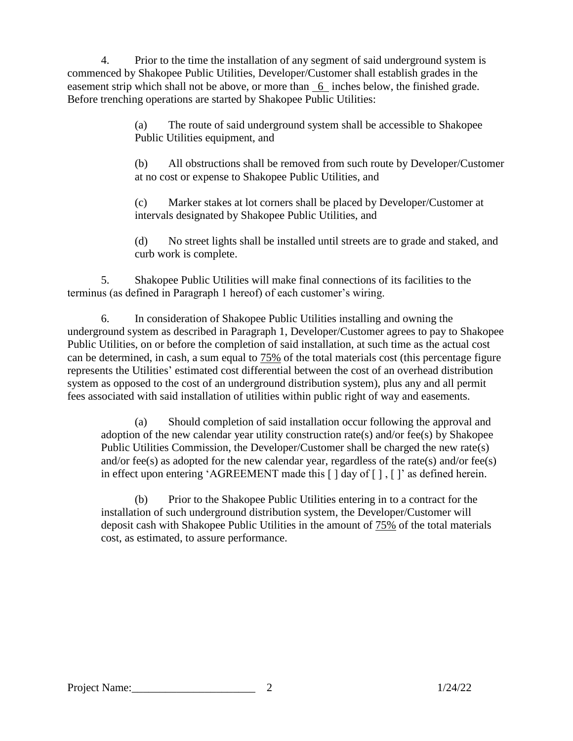4. Prior to the time the installation of any segment of said underground system is commenced by Shakopee Public Utilities, Developer/Customer shall establish grades in the easement strip which shall not be above, or more than 6 inches below, the finished grade. Before trenching operations are started by Shakopee Public Utilities:

> (a) The route of said underground system shall be accessible to Shakopee Public Utilities equipment, and

(b) All obstructions shall be removed from such route by Developer/Customer at no cost or expense to Shakopee Public Utilities, and

(c) Marker stakes at lot corners shall be placed by Developer/Customer at intervals designated by Shakopee Public Utilities, and

(d) No street lights shall be installed until streets are to grade and staked, and curb work is complete.

5. Shakopee Public Utilities will make final connections of its facilities to the terminus (as defined in Paragraph 1 hereof) of each customer's wiring.

6. In consideration of Shakopee Public Utilities installing and owning the underground system as described in Paragraph 1, Developer/Customer agrees to pay to Shakopee Public Utilities, on or before the completion of said installation, at such time as the actual cost can be determined, in cash, a sum equal to 75% of the total materials cost (this percentage figure represents the Utilities' estimated cost differential between the cost of an overhead distribution system as opposed to the cost of an underground distribution system), plus any and all permit fees associated with said installation of utilities within public right of way and easements.

(a) Should completion of said installation occur following the approval and adoption of the new calendar year utility construction rate(s) and/or fee(s) by Shakopee Public Utilities Commission, the Developer/Customer shall be charged the new rate(s) and/or fee(s) as adopted for the new calendar year, regardless of the rate(s) and/or fee(s) in effect upon entering 'AGREEMENT made this [ ] day of [ ] , [ ]' as defined herein.

(b) Prior to the Shakopee Public Utilities entering in to a contract for the installation of such underground distribution system, the Developer/Customer will deposit cash with Shakopee Public Utilities in the amount of 75% of the total materials cost, as estimated, to assure performance.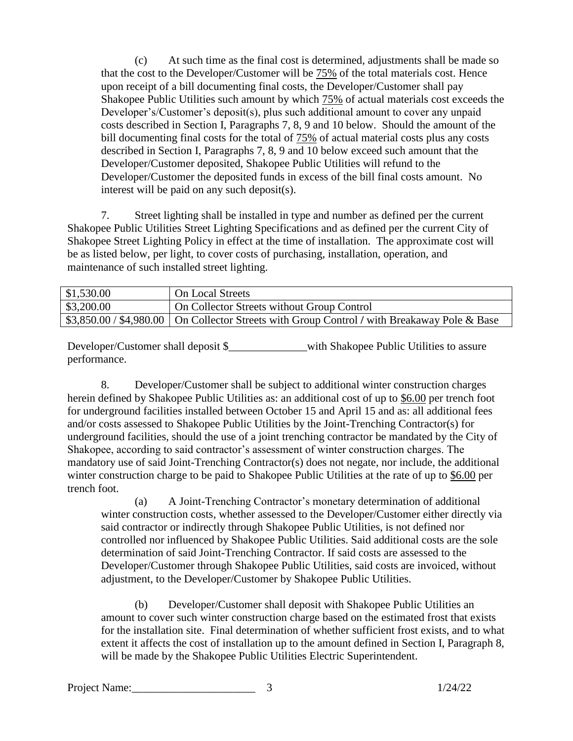(c) At such time as the final cost is determined, adjustments shall be made so that the cost to the Developer/Customer will be 75% of the total materials cost. Hence upon receipt of a bill documenting final costs, the Developer/Customer shall pay Shakopee Public Utilities such amount by which 75% of actual materials cost exceeds the Developer's/Customer's deposit(s), plus such additional amount to cover any unpaid costs described in Section I, Paragraphs 7, 8, 9 and 10 below. Should the amount of the bill documenting final costs for the total of  $75\%$  of actual material costs plus any costs described in Section I, Paragraphs 7, 8, 9 and 10 below exceed such amount that the Developer/Customer deposited, Shakopee Public Utilities will refund to the Developer/Customer the deposited funds in excess of the bill final costs amount. No interest will be paid on any such deposit(s).

7. Street lighting shall be installed in type and number as defined per the current Shakopee Public Utilities Street Lighting Specifications and as defined per the current City of Shakopee Street Lighting Policy in effect at the time of installation. The approximate cost will be as listed below, per light, to cover costs of purchasing, installation, operation, and maintenance of such installed street lighting.

| \$1,530.00 | On Local Streets                                                                                          |
|------------|-----------------------------------------------------------------------------------------------------------|
| \$3,200.00 | On Collector Streets without Group Control                                                                |
|            | $\frac{1}{3}$ ,850.00 / \$4,980.00   On Collector Streets with Group Control / with Breakaway Pole & Base |

Developer/Customer shall deposit \$\_\_\_\_\_\_\_\_\_\_\_\_\_\_with Shakopee Public Utilities to assure performance.

8. Developer/Customer shall be subject to additional winter construction charges herein defined by Shakopee Public Utilities as: an additional cost of up to \$6.00 per trench foot for underground facilities installed between October 15 and April 15 and as: all additional fees and/or costs assessed to Shakopee Public Utilities by the Joint-Trenching Contractor(s) for underground facilities, should the use of a joint trenching contractor be mandated by the City of Shakopee, according to said contractor's assessment of winter construction charges. The mandatory use of said Joint-Trenching Contractor(s) does not negate, nor include, the additional winter construction charge to be paid to Shakopee Public Utilities at the rate of up to \$6.00 per trench foot.

(a) A Joint-Trenching Contractor's monetary determination of additional winter construction costs, whether assessed to the Developer/Customer either directly via said contractor or indirectly through Shakopee Public Utilities, is not defined nor controlled nor influenced by Shakopee Public Utilities. Said additional costs are the sole determination of said Joint-Trenching Contractor. If said costs are assessed to the Developer/Customer through Shakopee Public Utilities, said costs are invoiced, without adjustment, to the Developer/Customer by Shakopee Public Utilities.

(b) Developer/Customer shall deposit with Shakopee Public Utilities an amount to cover such winter construction charge based on the estimated frost that exists for the installation site. Final determination of whether sufficient frost exists, and to what extent it affects the cost of installation up to the amount defined in Section I, Paragraph 8, will be made by the Shakopee Public Utilities Electric Superintendent.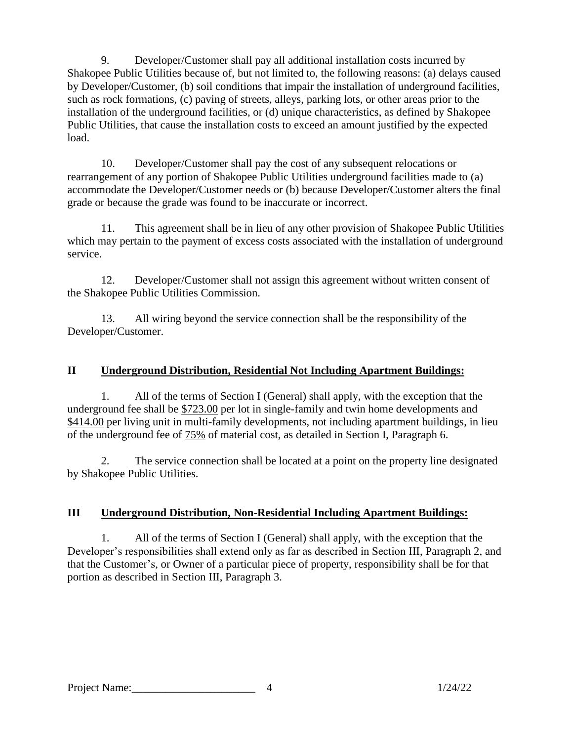9. Developer/Customer shall pay all additional installation costs incurred by Shakopee Public Utilities because of, but not limited to, the following reasons: (a) delays caused by Developer/Customer, (b) soil conditions that impair the installation of underground facilities, such as rock formations, (c) paving of streets, alleys, parking lots, or other areas prior to the installation of the underground facilities, or (d) unique characteristics, as defined by Shakopee Public Utilities, that cause the installation costs to exceed an amount justified by the expected load.

10. Developer/Customer shall pay the cost of any subsequent relocations or rearrangement of any portion of Shakopee Public Utilities underground facilities made to (a) accommodate the Developer/Customer needs or (b) because Developer/Customer alters the final grade or because the grade was found to be inaccurate or incorrect.

11. This agreement shall be in lieu of any other provision of Shakopee Public Utilities which may pertain to the payment of excess costs associated with the installation of underground service.

12. Developer/Customer shall not assign this agreement without written consent of the Shakopee Public Utilities Commission.

13. All wiring beyond the service connection shall be the responsibility of the Developer/Customer.

## **II Underground Distribution, Residential Not Including Apartment Buildings:**

1. All of the terms of Section I (General) shall apply, with the exception that the underground fee shall be \$723.00 per lot in single-family and twin home developments and \$414.00 per living unit in multi-family developments, not including apartment buildings, in lieu of the underground fee of 75% of material cost, as detailed in Section I, Paragraph 6.

2. The service connection shall be located at a point on the property line designated by Shakopee Public Utilities.

## **III Underground Distribution, Non-Residential Including Apartment Buildings:**

1. All of the terms of Section I (General) shall apply, with the exception that the Developer's responsibilities shall extend only as far as described in Section III, Paragraph 2, and that the Customer's, or Owner of a particular piece of property, responsibility shall be for that portion as described in Section III, Paragraph 3.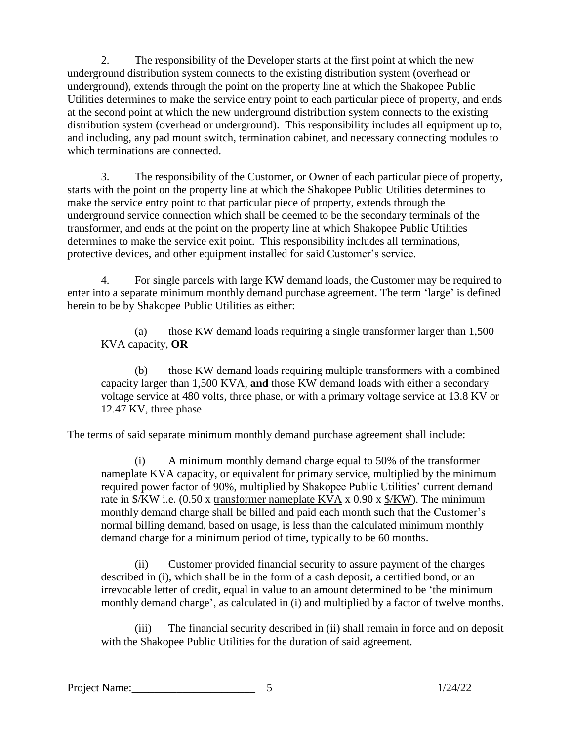2. The responsibility of the Developer starts at the first point at which the new underground distribution system connects to the existing distribution system (overhead or underground), extends through the point on the property line at which the Shakopee Public Utilities determines to make the service entry point to each particular piece of property, and ends at the second point at which the new underground distribution system connects to the existing distribution system (overhead or underground). This responsibility includes all equipment up to, and including, any pad mount switch, termination cabinet, and necessary connecting modules to which terminations are connected.

3. The responsibility of the Customer, or Owner of each particular piece of property, starts with the point on the property line at which the Shakopee Public Utilities determines to make the service entry point to that particular piece of property, extends through the underground service connection which shall be deemed to be the secondary terminals of the transformer, and ends at the point on the property line at which Shakopee Public Utilities determines to make the service exit point. This responsibility includes all terminations, protective devices, and other equipment installed for said Customer's service.

4. For single parcels with large KW demand loads, the Customer may be required to enter into a separate minimum monthly demand purchase agreement. The term 'large' is defined herein to be by Shakopee Public Utilities as either:

(a) those KW demand loads requiring a single transformer larger than 1,500 KVA capacity, **OR**

(b) those KW demand loads requiring multiple transformers with a combined capacity larger than 1,500 KVA, **and** those KW demand loads with either a secondary voltage service at 480 volts, three phase, or with a primary voltage service at 13.8 KV or 12.47 KV, three phase

The terms of said separate minimum monthly demand purchase agreement shall include:

(i) A minimum monthly demand charge equal to 50% of the transformer nameplate KVA capacity, or equivalent for primary service, multiplied by the minimum required power factor of 90%, multiplied by Shakopee Public Utilities' current demand rate in \$/KW i.e. (0.50 x transformer nameplate KVA x 0.90 x \$/KW). The minimum monthly demand charge shall be billed and paid each month such that the Customer's normal billing demand, based on usage, is less than the calculated minimum monthly demand charge for a minimum period of time, typically to be 60 months.

(ii) Customer provided financial security to assure payment of the charges described in (i), which shall be in the form of a cash deposit, a certified bond, or an irrevocable letter of credit, equal in value to an amount determined to be 'the minimum monthly demand charge', as calculated in (i) and multiplied by a factor of twelve months.

(iii) The financial security described in (ii) shall remain in force and on deposit with the Shakopee Public Utilities for the duration of said agreement.

Project Name: 2012 22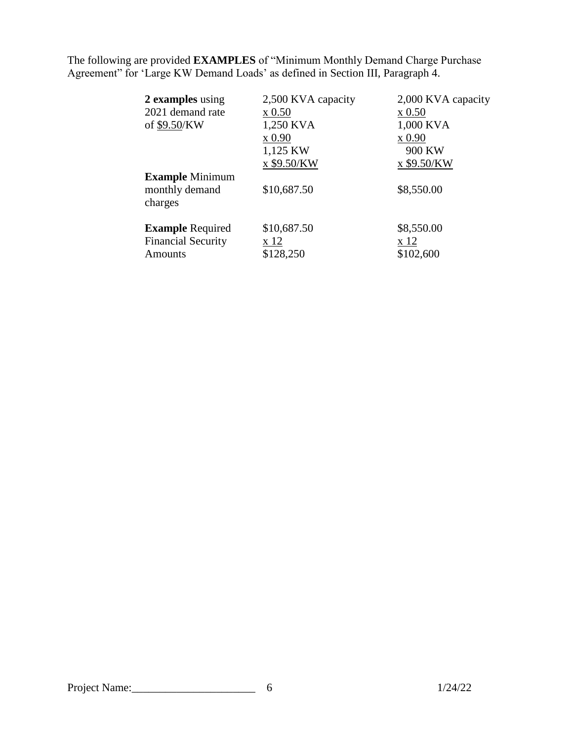The following are provided **EXAMPLES** of "Minimum Monthly Demand Charge Purchase Agreement" for 'Large KW Demand Loads' as defined in Section III, Paragraph 4.

| 2 examples using          | 2,500 KVA capacity | 2,000 KVA capacity |
|---------------------------|--------------------|--------------------|
| 2021 demand rate          | $x\,0.50$          | $x\,0.50$          |
| of \$9.50/KW              | 1,250 KVA          | 1,000 KVA          |
|                           | x 0.90             | x 0.90             |
|                           | 1,125 KW           | 900 KW             |
|                           | x \$9.50/KW        | x \$9.50/KW        |
| <b>Example Minimum</b>    |                    |                    |
| monthly demand<br>charges | \$10,687.50        | \$8,550.00         |
| <b>Example Required</b>   | \$10,687.50        | \$8,550.00         |
| <b>Financial Security</b> | x 12               | x 12               |
| Amounts                   | \$128,250          | \$102,600          |